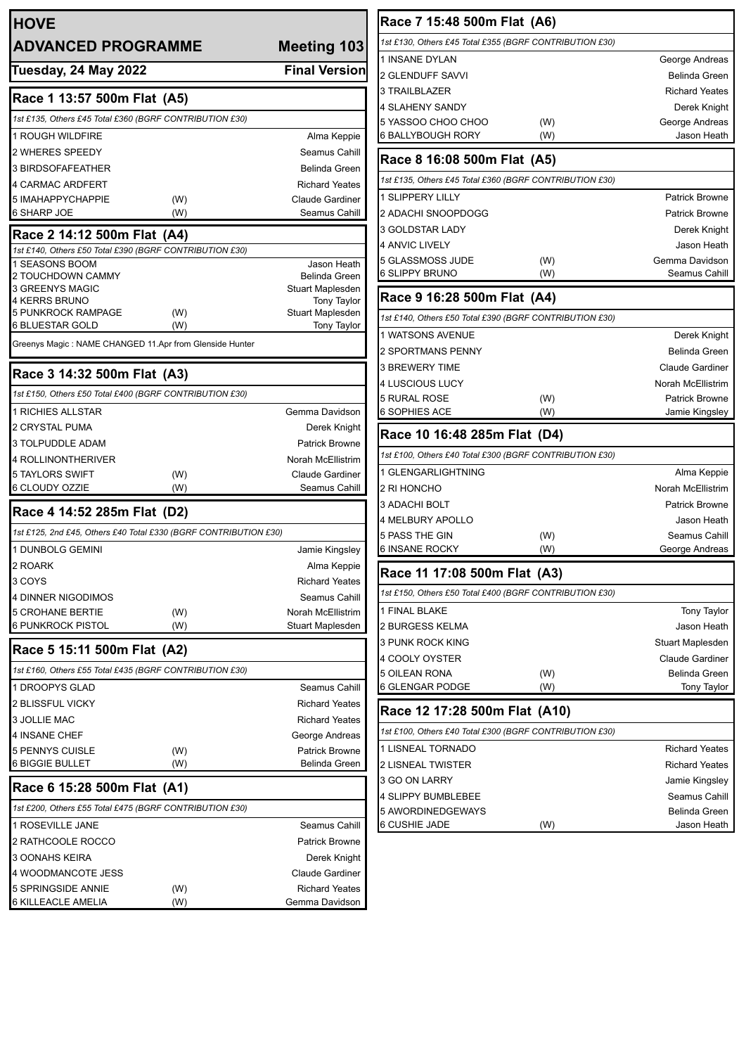| <b>HOVE</b><br><b>ADVANCED PROGRAMME</b>                                    |            | <b>Meeting 103</b>                            |
|-----------------------------------------------------------------------------|------------|-----------------------------------------------|
| <b>Tuesday, 24 May 2022</b>                                                 |            | <b>Final Version</b>                          |
| Race 1 13:57 500m Flat (A5)                                                 |            |                                               |
| 1st £135, Others £45 Total £360 (BGRF CONTRIBUTION £30)                     |            |                                               |
| 1 ROUGH WILDFIRE                                                            |            | Alma Keppie                                   |
| 2 WHERES SPEEDY                                                             |            | Seamus Cahill                                 |
| <b>3 BIRDSOFAFEATHER</b>                                                    |            | Belinda Green                                 |
| <b>4 CARMAC ARDFERT</b>                                                     |            | <b>Richard Yeates</b>                         |
| 5 IMAHAPPYCHAPPIE                                                           | (W)        | <b>Claude Gardiner</b>                        |
| 6 SHARP JOE                                                                 | (W)        | Seamus Cahill                                 |
| Race 2 14:12 500m Flat (A4)                                                 |            |                                               |
| 1st £140, Others £50 Total £390 (BGRF CONTRIBUTION £30)                     |            |                                               |
| 1 SEASONS BOOM<br>2 TOUCHDOWN CAMMY                                         |            | Jason Heath<br>Belinda Green                  |
| 3 GREENYS MAGIC                                                             |            | Stuart Maplesden                              |
| 4 KERRS BRUNO                                                               |            | <b>Tony Taylor</b>                            |
| <b>5 PUNKROCK RAMPAGE</b><br>6 BLUESTAR GOLD                                | (W)<br>(W) | Stuart Maplesden<br>Tony Taylor               |
| Greenys Magic : NAME CHANGED 11.Apr from Glenside Hunter                    |            |                                               |
| Race 3 14:32 500m Flat (A3)                                                 |            |                                               |
| 1st £150, Others £50 Total £400 (BGRF CONTRIBUTION £30)                     |            |                                               |
| <b>1 RICHIES ALLSTAR</b>                                                    |            | Gemma Davidson                                |
| 2 CRYSTAL PUMA                                                              |            | Derek Knight                                  |
| <b>3 TOLPUDDLE ADAM</b>                                                     |            | <b>Patrick Browne</b>                         |
| 4 ROLLINONTHERIVER                                                          |            | Norah McEllistrim                             |
| 5 TAYLORS SWIFT                                                             | (W)        | <b>Claude Gardiner</b>                        |
| 6 CLOUDY OZZIE                                                              | (W)        | Seamus Cahill                                 |
| Race 4 14:52 285m Flat (D2)                                                 |            |                                               |
| 1st £125, 2nd £45, Others £40 Total £330 (BGRF CONTRIBUTION £30)            |            |                                               |
| 1 DUNBOLG GEMINI                                                            |            | Jamie Kingsley                                |
| 2 ROARK                                                                     |            | Alma Keppie                                   |
| 3 COYS                                                                      |            | <b>Richard Yeates</b>                         |
| <b>4 DINNER NIGODIMOS</b>                                                   |            | Seamus Cahill                                 |
| 5 CROHANE BERTIE                                                            | (W)        | Norah McEllistrim                             |
| 6 PUNKROCK PISTOL                                                           | (W)        | Stuart Maplesden                              |
| Race 5 15:11 500m Flat (A2)                                                 |            |                                               |
| 1st £160, Others £55 Total £435 (BGRF CONTRIBUTION £30)                     |            |                                               |
| 1 DROOPYS GLAD                                                              |            | Seamus Cahill                                 |
| 2 BLISSFUL VICKY                                                            |            | <b>Richard Yeates</b>                         |
| <b>3 JOLLIE MAC</b>                                                         |            | <b>Richard Yeates</b>                         |
| <b>4 INSANE CHEF</b>                                                        |            | George Andreas                                |
| <b>5 PENNYS CUISLE</b><br><b>6 BIGGIE BULLET</b>                            | (W)<br>(W) | <b>Patrick Browne</b><br><b>Belinda Green</b> |
|                                                                             |            |                                               |
| Race 6 15:28 500m Flat (A1)                                                 |            |                                               |
| 1st £200, Others £55 Total £475 (BGRF CONTRIBUTION £30)<br>1 ROSEVILLE JANE |            | Seamus Cahill                                 |
| 2 RATHCOOLE ROCCO                                                           |            | Patrick Browne                                |
| 3 OONAHS KEIRA                                                              |            | Derek Knight                                  |
| 4 WOODMANCOTE JESS                                                          |            | <b>Claude Gardiner</b>                        |
| 5 SPRINGSIDE ANNIE                                                          | (W)        | <b>Richard Yeates</b>                         |
| 6 KILLEACLE AMELIA                                                          | (W)        | Gemma Davidson                                |

| Race 7 15:48 500m Flat (A6)                             |     |                        |
|---------------------------------------------------------|-----|------------------------|
| 1st £130, Others £45 Total £355 (BGRF CONTRIBUTION £30) |     |                        |
| 1 INSANE DYLAN                                          |     | George Andreas         |
| 2 GLENDUFF SAVVI                                        |     | Belinda Green          |
| 3 TRAILBLAZER                                           |     | <b>Richard Yeates</b>  |
| 4 SLAHENY SANDY                                         |     | Derek Knight           |
| 5 YASSOO CHOO CHOO                                      | (W) | George Andreas         |
| 6 BALLYBOUGH RORY                                       | (W) | Jason Heath            |
| Race 8 16:08 500m Flat (A5)                             |     |                        |
| 1st £135, Others £45 Total £360 (BGRF CONTRIBUTION £30) |     |                        |
| <b>1 SLIPPERY LILLY</b>                                 |     | <b>Patrick Browne</b>  |
| 2 ADACHI SNOOPDOGG                                      |     | <b>Patrick Browne</b>  |
| <b>3 GOLDSTAR LADY</b>                                  |     | Derek Knight           |
| <b>4 ANVIC LIVELY</b>                                   |     | Jason Heath            |
| 5 GLASSMOSS JUDE                                        | (W) | Gemma Davidson         |
| 6 SLIPPY BRUNO                                          | (W) | Seamus Cahill          |
| Race 9 16:28 500m Flat (A4)                             |     |                        |
| 1st £140, Others £50 Total £390 (BGRF CONTRIBUTION £30) |     |                        |
| 1 WATSONS AVENUE                                        |     | Derek Knight           |
| 2 SPORTMANS PENNY                                       |     | Belinda Green          |
| <b>3 BREWERY TIME</b>                                   |     | <b>Claude Gardiner</b> |
| 4 LUSCIOUS LUCY                                         |     | Norah McEllistrim      |
| <b>5 RURAL ROSE</b>                                     | (W) | <b>Patrick Browne</b>  |
| <b>6 SOPHIES ACE</b>                                    | (W) | Jamie Kingsley         |
| Race 10 16:48 285m Flat (D4)                            |     |                        |
| 1st £100, Others £40 Total £300 (BGRF CONTRIBUTION £30) |     |                        |
| 1 GLENGARLIGHTNING                                      |     | Alma Keppie            |
| 2 RI HONCHO                                             |     | Norah McEllistrim      |
| 3 ADACHI BOLT                                           |     | <b>Patrick Browne</b>  |
| <b>4 MELBURY APOLLO</b>                                 |     | Jason Heath            |
| 5 PASS THE GIN                                          | (W) | Seamus Cahill          |
| 6 INSANE ROCKY                                          | (W) | George Andreas         |
| Race 11 17:08 500m Flat (A3)                            |     |                        |
| 1st £150, Others £50 Total £400 (BGRF CONTRIBUTION £30) |     |                        |
| 1 FINAL BLAKE                                           |     | <b>Tony Taylor</b>     |
| 2 BURGESS KELMA                                         |     | Jason Heath            |
| 3 PUNK ROCK KING                                        |     | Stuart Maplesden       |
| 4 COOLY OYSTER                                          |     | <b>Claude Gardiner</b> |
| 5 OILEAN RONA                                           | (W) | <b>Belinda Green</b>   |
| 6 GLENGAR PODGE                                         | (W) | <b>Tony Taylor</b>     |
| Race 12 17:28 500m Flat (A10)                           |     |                        |
| 1st £100, Others £40 Total £300 (BGRF CONTRIBUTION £30) |     |                        |
| 1 LISNEAL TORNADO                                       |     | <b>Richard Yeates</b>  |
| 2 LISNEAL TWISTER                                       |     | <b>Richard Yeates</b>  |
| 3 GO ON LARRY                                           |     | Jamie Kingsley         |
|                                                         |     | Seamus Cahill          |
| 4 SLIPPY BUMBLEBEE                                      |     |                        |
| 5 AWORDINEDGEWAYS                                       |     | Belinda Green          |